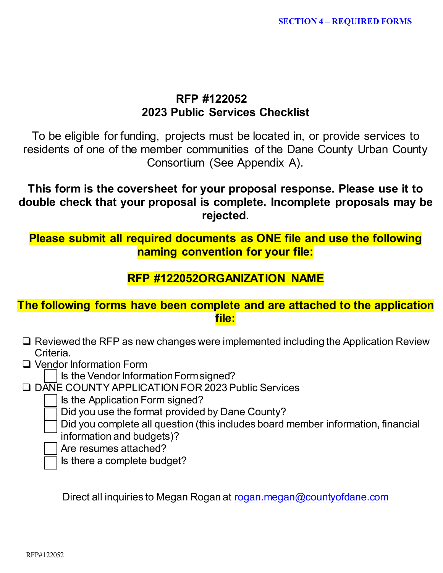# **RFP #122052 2023 Public Services Checklist**

To be eligible for funding, projects must be located in, or provide services to residents of one of the member communities of the Dane County Urban County Consortium (See Appendix A).

**This form is the coversheet for your proposal response. Please use it to double check that your proposal is complete. Incomplete proposals may be rejected.**

**Please submit all required documents as ONE file and use the following naming convention for your file:**

# **RFP #122052ORGANIZATION NAME**

## **The following forms have been complete and are attached to the application file:**

- $\square$  Reviewed the RFP as new changes were implemented including the Application Review Criteria.
- □ Vendor Information Form

Is the Vendor Information Form signed?

DANE COUNTY APPLICATION FOR 2023 Public Services

Is the Application Form signed?

Did you use the format provided by Dane County?

Did you complete all question (this includes board member information, financial information and budgets)?

Are resumes attached?

Is there a complete budget?

Direct all inquiries to Megan Rogan at [rogan.megan@countyofdane.com](mailto:rogan.megan@countyofdane.com)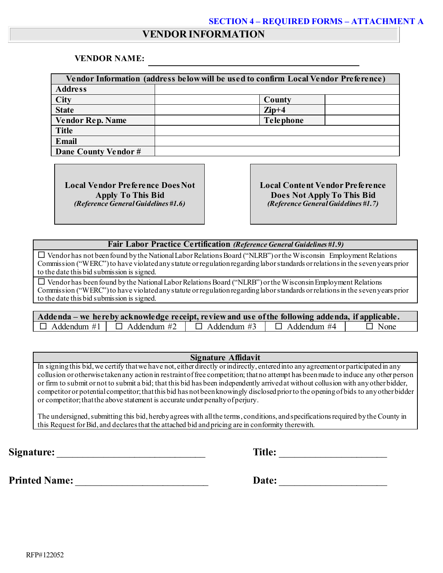## **VENDOR INFORMATION**

#### **VENDOR NAME:**

| Vendor Information (address below will be used to confirm Local Vendor Preference) |                  |  |  |  |  |
|------------------------------------------------------------------------------------|------------------|--|--|--|--|
| <b>Address</b>                                                                     |                  |  |  |  |  |
| <b>City</b>                                                                        | County           |  |  |  |  |
| <b>State</b>                                                                       | $\mathbf{Zip}+4$ |  |  |  |  |
| <b>Vendor Rep. Name</b>                                                            | <b>Telephone</b> |  |  |  |  |
| <b>Title</b>                                                                       |                  |  |  |  |  |
| Email                                                                              |                  |  |  |  |  |
| Dane County Vendor #                                                               |                  |  |  |  |  |

**Local Vendor Preference Does Not Apply To This Bid** *(Reference General Guidelines #1.6)*

**Local Content Vendor Preference Does Not Apply To This Bid** *(Reference General Guidelines #1.7)*

#### **Fair Labor Practice Certification** *(Reference General Guidelines #1.9)*

 $\square$  Vendor has not been found by the National Labor Relations Board ("NLRB") or the Wisconsin Employment Relations Commission ("WERC") to have violated any statute or regulation regarding labor standards or relations in the seven years prior to the date this bid submission is signed.

 $\square$  Vendor has been found by the National Labor Relations Board ("NLRB") or the Wisconsin Employment Relations Commission ("WERC") to have violated any statute or regulation regarding labor standards or relations in the seven years prior to the date this bid submission is signed.

| Addenda – we here by acknowledge receipt, review and use of the following addenda, if applicable. |  |                                                                             |  |             |  |  |  |
|---------------------------------------------------------------------------------------------------|--|-----------------------------------------------------------------------------|--|-------------|--|--|--|
|                                                                                                   |  | $\Box$ Addendum #1 $\Box$ Addendum #2 $\Box$ Addendum #3 $\Box$ Addendum #4 |  | $\Box$ None |  |  |  |

#### **Signature Affidavit**

In signing this bid, we certify that we have not, either directly or indirectly, entered into any agreement or participated in any collusion or otherwise taken any action in restraint of free competition; that no attempt has been made to induce any other person or firm to submit or not to submit a bid; that this bid has been independently arrived at without collusion with any other bidder, competitor or potential competitor; that this bid has not been knowingly disclosed prior to the opening of bids to any other bidder or competitor; that the above statement is accurate under penalty of perjury.

The undersigned, submitting this bid, hereby agrees with all the terms, conditions, and specifications required by the County in this Request for Bid, and declares that the attached bid and pricing are in conformity therewith.

**Signature:** Title:

**Printed Name:** \_\_\_\_\_\_\_\_\_\_\_\_\_\_\_\_\_\_\_\_\_\_\_\_\_\_ **Date:** \_\_\_\_\_\_\_\_\_\_\_\_\_\_\_\_\_\_\_\_\_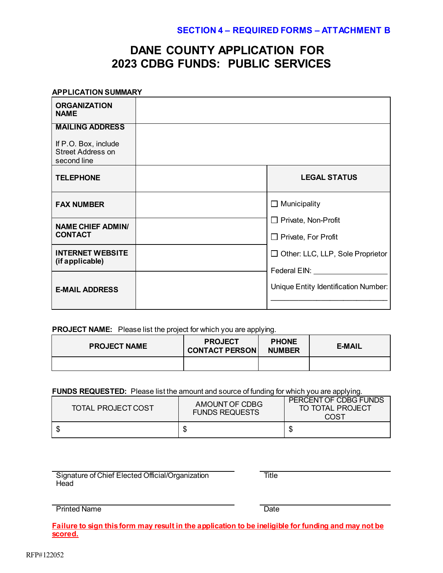# **DANE COUNTY APPLICATION FOR 2023 CDBG FUNDS: PUBLIC SERVICES**

#### **APPLICATION SUMMARY**

| <b>ORGANIZATION</b><br><b>NAME</b>                                                        |                                                            |
|-------------------------------------------------------------------------------------------|------------------------------------------------------------|
| <b>MAILING ADDRESS</b><br>If P.O. Box, include<br><b>Street Address on</b><br>second line |                                                            |
| <b>TELEPHONE</b>                                                                          | <b>LEGAL STATUS</b>                                        |
| <b>FAX NUMBER</b>                                                                         | Municipality<br>ப                                          |
| <b>NAME CHIEF ADMIN/</b><br><b>CONTACT</b>                                                | $\Box$ Private, Non-Profit<br>$\Box$ Private, For Profit   |
| <b>INTERNET WEBSITE</b><br>(if applicable)                                                | □ Other: LLC, LLP, Sole Proprietor<br>Federal EIN: Federal |
| <b>E-MAIL ADDRESS</b>                                                                     | Unique Entity Identification Number:                       |

#### **PROJECT NAME:** Please list the project for which you are applying.

| <b>PROJECT NAME</b> | <b>PROJECT</b><br><b>CONTACT PERSON</b> | <b>PHONE</b><br><b>NUMBER</b> | <b>E-MAIL</b> |  |
|---------------------|-----------------------------------------|-------------------------------|---------------|--|
|                     |                                         |                               |               |  |

#### **FUNDS REQUESTED:** Please list the amount and source of funding for which you are applying.

| TOTAL PROJECT COST | AMOUNT OF CDBG<br><b>FUNDS REQUESTS</b> | PERCENT OF CDBG FUNDS<br>TO TOTAL PROJECT<br>COST |
|--------------------|-----------------------------------------|---------------------------------------------------|
|                    |                                         |                                                   |

Signature of Chief Elected Official/Organization Head

**Title** 

Printed Name Date

**Failure to sign this form may result in the application to be ineligible for funding and may not be scored.**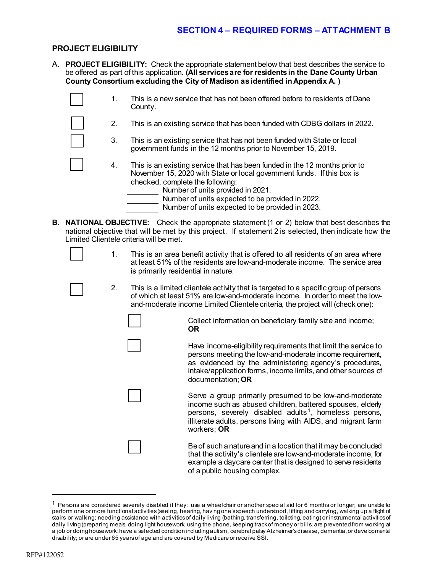#### **PROJECT ELIGIBILITY**

A. **PROJECT ELIGIBILITY:** Check the appropriate statement below that best describes the service to be offered as part of this application. **(All services are for residents in the Dane County Urban County Consortium excluding the City of Madison as identified in Appendix A. )**

| $\mathbf{1}$ . | This is a new service that has not been offered before to residents of Dane<br>County.                                                                                                                                                                                                                                                |
|----------------|---------------------------------------------------------------------------------------------------------------------------------------------------------------------------------------------------------------------------------------------------------------------------------------------------------------------------------------|
| $2_{\cdot}$    | This is an existing service that has been funded with CDBG dollars in 2022.                                                                                                                                                                                                                                                           |
| 3.             | This is an existing service that has not been funded with State or local<br>government funds in the 12 months prior to November 15, 2019.                                                                                                                                                                                             |
| 4.             | This is an existing service that has been funded in the 12 months prior to<br>November 15, 2020 with State or local government funds. If this box is<br>checked, complete the following:<br>Number of units provided in 2021.<br>Number of units expected to be provided in 2022.<br>Number of units expected to be provided in 2023. |

- **B. NATIONAL OBJECTIVE:** Check the appropriate statement (1 or 2) below that best describes the national objective that will be met by this project. If statement 2 is selected, then indicate how the Limited Clientele criteria will be met.
	- 1. This is an area benefit activity that is offered to all residents of an area where at least 51% of the residents are low-and-moderate income. The service area is primarily residential in nature.
	- 2. This is a limited clientele activity that is targeted to a specific group of persons of which at least 51% are low-and-moderate income. In order to meet the lowand-moderate income Limited Clientele criteria, the project will (check one):

Collect information on beneficiary family size and income; **OR**

Have income-eligibility requirements that limit the service to persons meeting the low-and-moderate income requirement, as evidenced by the administering agency's procedures, intake/application forms, income limits, and other sources of documentation; **OR**

Serve a group primarily presumed to be low-and-moderate income such as abused children, battered spouses, elderly persons, severely disabled adults<sup>[1](#page-3-0)</sup>, homeless persons, illiterate adults, persons living with AIDS, and migrant farm workers; **OR**

Be of such a nature and in a location that it may be concluded that the activity's clientele are low-and-moderate income, for example a daycare center that is designed to serve residents of a public housing complex.

<span id="page-3-0"></span> $1$  Persons are considered severely disabled if they: use a wheelchair or another special aid for 6 months or longer; are unable to perform one or more functional activities (seeing, hearing, having one's speech understood, lifting and carrying, walking up a flight of stairs or walking; needing assistance with activities of daily living (bathing, transferring, toileting, eating) or instrumental activities of daily living (preparing meals, doing light housework, using the phone, keeping track of money or bills; are prevented from working at a job or doing housework; have a selected condition including autism, cerebral palsy Alzheimer's disease, dementia, or developmental disability; or are under 65 years of age and are covered by Medicare or receive SSI.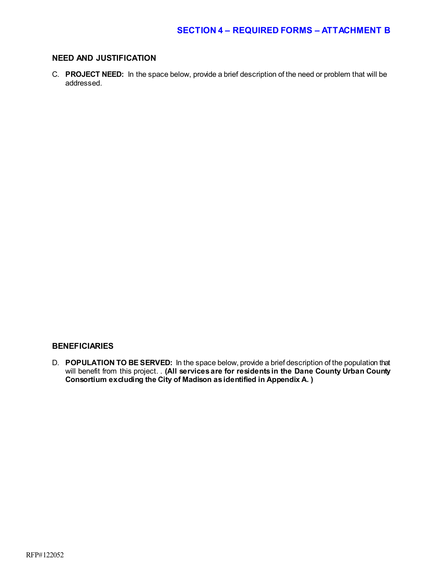#### **NEED AND JUSTIFICATION**

C. **PROJECT NEED:** In the space below, provide a brief description of the need or problem that will be addressed.

#### **BENEFICIARIES**

D. **POPULATION TO BE SERVED:** In the space below, provide a brief description of the population that will benefit from this project. . **(All services are for residents in the Dane County Urban County Consortium excluding the City of Madison as identified in Appendix A. )**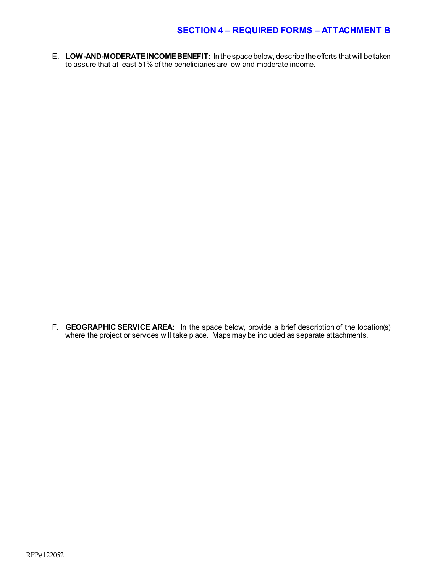E. **LOW-AND-MODERATE INCOME BENEFIT:** In the space below, describe the efforts that will be taken to assure that at least 51% of the beneficiaries are low-and-moderate income.

F. **GEOGRAPHIC SERVICE AREA:** In the space below, provide a brief description of the location(s) where the project or services will take place. Maps may be included as separate attachments.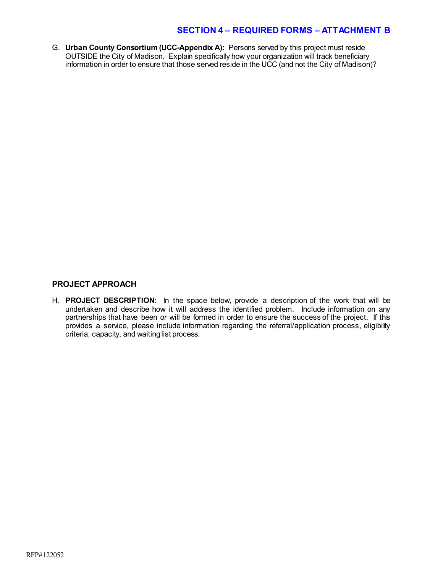G. **Urban County Consortium (UCC-Appendix A):** Persons served by this project must reside OUTSIDE the City of Madison. Explain specifically how your organization will track beneficiary information in order to ensure that those served reside in the UCC (and not the City of Madison)?

#### **PROJECT APPROACH**

H. **PROJECT DESCRIPTION:** In the space below, provide a description of the work that will be undertaken and describe how it will address the identified problem. Include information on any partnerships that have been or will be formed in order to ensure the success of the project. If this provides a service, please include information regarding the referral/application process, eligibility criteria, capacity, and waiting list process.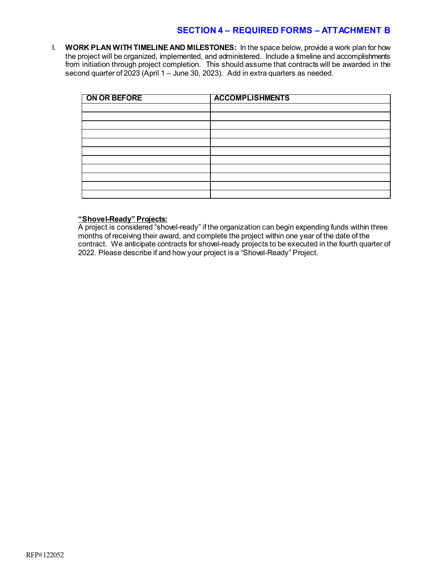I. **WORK PLAN WITH TIMELINE AND MILESTONES:** In the space below, provide a work plan for how the project will be organized, implemented, and administered. Include a timeline and accomplishments from initiation through project completion. This should assume that contracts will be awarded in the second quarter of 2023 (April 1 – June 30, 2023). Add in extra quarters as needed.

| ON OR BEFORE | <b>ACCOMPLISHMENTS</b> |
|--------------|------------------------|
|              |                        |
|              |                        |
|              |                        |
|              |                        |
|              |                        |
|              |                        |
|              |                        |
|              |                        |
|              |                        |
|              |                        |
|              |                        |

#### **"Shovel-Ready" Projects:**

A project is considered "shovel-ready" if the organization can begin expending funds within three months of receiving their award, and complete the project within one year of the date of the contract. We anticipate contracts for shovel-ready projects to be executed in the fourth quarter of 2022. Please describe if and how your project is a "Shovel-Ready" Project.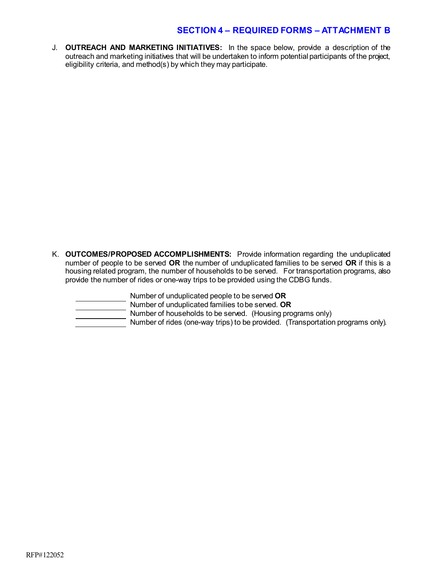J. **OUTREACH AND MARKETING INITIATIVES:** In the space below, provide a description of the outreach and marketing initiatives that will be undertaken to inform potential participants of the project, eligibility criteria, and method(s) by which they may participate.

K. **OUTCOMES/PROPOSED ACCOMPLISHMENTS:** Provide information regarding the unduplicated number of people to be served **OR** the number of unduplicated families to be served **OR** if this is a housing related program, the number of households to be served. For transportation programs, also provide the number of rides or one-way trips to be provided using the CDBG funds.

Number of unduplicated people to be served **OR**

Number of unduplicated families to be served. **OR**

Number of households to be served. (Housing programs only)

Number of rides (one-way trips) to be provided. (Transportation programs only).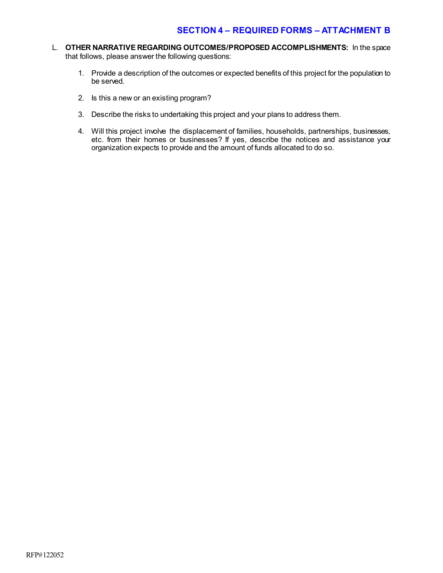- L. **OTHER NARRATIVE REGARDING OUTCOMES/PROPOSED ACCOMPLISHMENTS:** In the space that follows, please answer the following questions:
	- 1. Provide a description of the outcomes or expected benefits of this project for the population to be served.
	- 2. Is this a new or an existing program?
	- 3. Describe the risks to undertaking this project and your plans to address them.
	- 4. Will this project involve the displacement of families, households, partnerships, businesses, etc. from their homes or businesses? If yes, describe the notices and assistance your organization expects to provide and the amount of funds allocated to do so.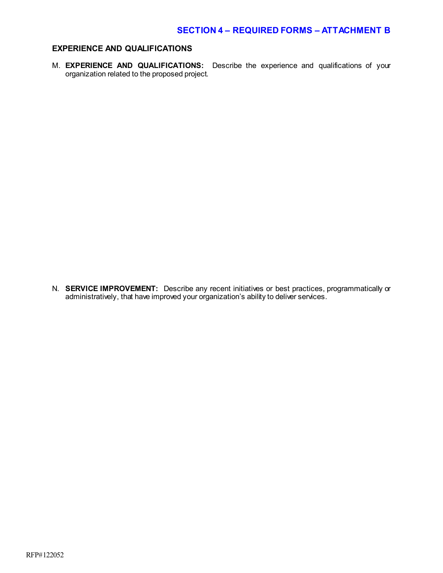#### **EXPERIENCE AND QUALIFICATIONS**

M. **EXPERIENCE AND QUALIFICATIONS:** Describe the experience and qualifications of your organization related to the proposed project.

N. **SERVICE IMPROVEMENT:** Describe any recent initiatives or best practices, programmatically or administratively, that have improved your organization's ability to deliver services.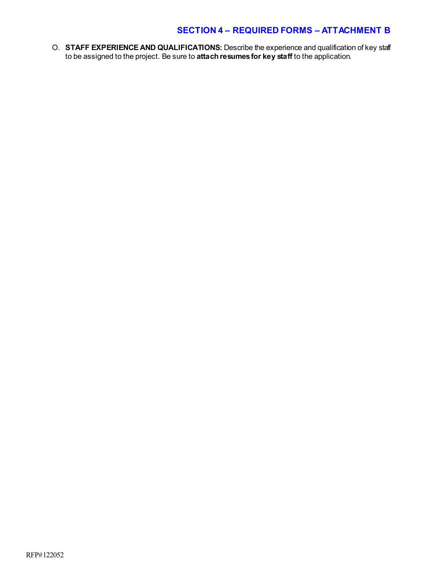O. **STAFF EXPERIENCE AND QUALIFICATIONS:** Describe the experience and qualification of key staff to be assigned to the project. Be sure to **attach resumes for key staff** to the application.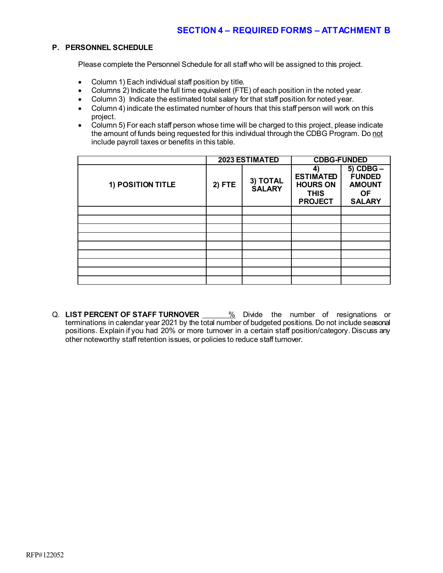#### **P. PERSONNEL SCHEDULE**

Please complete the Personnel Schedule for all staff who will be assigned to this project.

- Column 1) Each individual staff position by title.
- Columns 2) Indicate the full time equivalent (FTE) of each position in the noted year.
- Column 3) Indicate the estimated total salary for that staff position for noted year.
- Column 4) indicate the estimated number of hours that this staff person will work on this project.
- Column 5) For each staff person whose time will be charged to this project, please indicate the amount of funds being requested for this individual through the CDBG Program. Do not include payroll taxes or benefits in this table.

|                   |        | 2023 ESTIMATED            | <b>CDBG-FUNDED</b>                                                         |                                                                               |
|-------------------|--------|---------------------------|----------------------------------------------------------------------------|-------------------------------------------------------------------------------|
| 1) POSITION TITLE | 2) FTE | 3) TOTAL<br><b>SALARY</b> | 41<br><b>ESTIMATED</b><br><b>HOURS ON</b><br><b>THIS</b><br><b>PROJECT</b> | $5)$ CDBG $-$<br><b>FUNDED</b><br><b>AMOUNT</b><br><b>OF</b><br><b>SALARY</b> |
|                   |        |                           |                                                                            |                                                                               |
|                   |        |                           |                                                                            |                                                                               |
|                   |        |                           |                                                                            |                                                                               |
|                   |        |                           |                                                                            |                                                                               |
|                   |        |                           |                                                                            |                                                                               |
|                   |        |                           |                                                                            |                                                                               |
|                   |        |                           |                                                                            |                                                                               |
|                   |        |                           |                                                                            |                                                                               |
|                   |        |                           |                                                                            |                                                                               |

Q. LIST PERCENT OF STAFF TURNOVER **6. We Divide the number of resignations** or terminations in calendar year 2021 by the total number of budgeted positions. Do not include seasonal positions. Explain if you had 20% or more turnover in a certain staff position/category. Discuss any other noteworthy staff retention issues, or policies to reduce staff turnover.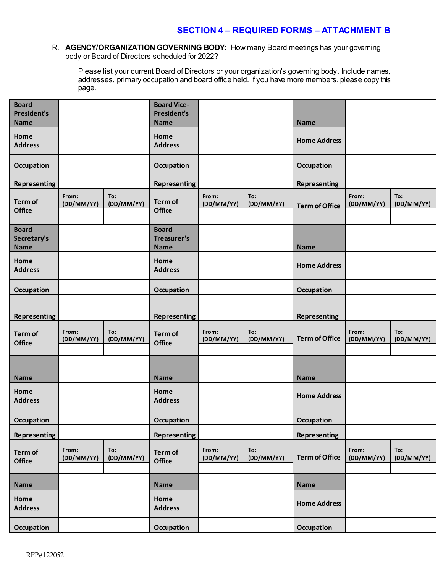#### R. **AGENCY/ORGANIZATION GOVERNING BODY:** How many Board meetings has your governing body or Board of Directors scheduled for 2022?

Please list your current Board of Directors or your organization's governing body. Include names, addresses, primary occupation and board office held. If you have more members, please copy this page.

| <b>Board</b><br><b>President's</b><br><b>Name</b> |                     |                   | <b>Board Vice-</b><br><b>President's</b><br><b>Name</b> |                     |                   | <b>Name</b>           |                     |                   |
|---------------------------------------------------|---------------------|-------------------|---------------------------------------------------------|---------------------|-------------------|-----------------------|---------------------|-------------------|
| Home<br><b>Address</b>                            |                     |                   | Home<br><b>Address</b>                                  |                     |                   | <b>Home Address</b>   |                     |                   |
| Occupation                                        |                     |                   | Occupation                                              |                     |                   | <b>Occupation</b>     |                     |                   |
| <b>Representing</b>                               |                     |                   | <b>Representing</b>                                     |                     |                   | <b>Representing</b>   |                     |                   |
| Term of<br><b>Office</b>                          | From:<br>(DD/MM/YY) | To:<br>(DD/MM/YY) | Term of<br><b>Office</b>                                | From:<br>(DD/MM/YY) | To:<br>(DD/MM/YY) | <b>Term of Office</b> | From:<br>(DD/MM/YY) | To:<br>(DD/MM/YY) |
| <b>Board</b><br>Secretary's<br><b>Name</b>        |                     |                   | <b>Board</b><br>Treasurer's<br><b>Name</b>              |                     |                   | <b>Name</b>           |                     |                   |
| Home<br><b>Address</b>                            |                     |                   | Home<br><b>Address</b>                                  |                     |                   | <b>Home Address</b>   |                     |                   |
| Occupation                                        |                     |                   | Occupation                                              |                     |                   | Occupation            |                     |                   |
| <b>Representing</b>                               |                     |                   | <b>Representing</b>                                     |                     |                   | <b>Representing</b>   |                     |                   |
| Term of<br><b>Office</b>                          | From:<br>(DD/MM/YY) | To:<br>(DD/MM/YY) | Term of<br><b>Office</b>                                | From:<br>(DD/MM/YY) | To:<br>(DD/MM/YY) | <b>Term of Office</b> | From:<br>(DD/MM/YY) | To:<br>(DD/MM/YY) |
| <b>Name</b>                                       |                     |                   | <b>Name</b>                                             |                     |                   | <b>Name</b>           |                     |                   |
| Home<br><b>Address</b>                            |                     |                   | Home<br><b>Address</b>                                  |                     |                   | <b>Home Address</b>   |                     |                   |
| Occupation                                        |                     |                   | Occupation                                              |                     |                   | Occupation            |                     |                   |
| <b>Representing</b>                               |                     |                   | <b>Representing</b>                                     |                     |                   | <b>Representing</b>   |                     |                   |
| Term of<br>Office                                 | From:<br>(DD/MM/YY) | To:<br>(DD/MM/YY) | Term of<br><b>Office</b>                                | From:<br>(DD/MM/YY) | To:<br>(DD/MM/YY) | <b>Term of Office</b> | From:<br>(DD/MM/YY) | To:<br>(DD/MM/YY) |
| Name                                              |                     |                   | <b>Name</b>                                             |                     |                   | <b>Name</b>           |                     |                   |
| Home<br><b>Address</b>                            |                     |                   | Home<br><b>Address</b>                                  |                     |                   | <b>Home Address</b>   |                     |                   |
| Occupation                                        |                     |                   | <b>Occupation</b>                                       |                     |                   | <b>Occupation</b>     |                     |                   |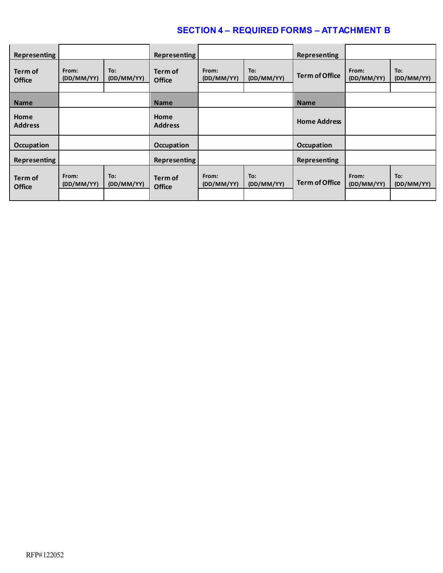| Representing             |                     |                   | Representing             |                     |                   | <b>Representing</b>   |                     |                   |
|--------------------------|---------------------|-------------------|--------------------------|---------------------|-------------------|-----------------------|---------------------|-------------------|
| Term of<br><b>Office</b> | From:<br>(DD/MM/YY) | To:<br>(DD/MM/YY) | Term of<br><b>Office</b> | From:<br>(DD/MM/YY) | To:<br>(DD/MM/YY) | <b>Term of Office</b> | From:<br>(DD/MM/YY) | To:<br>(DD/MM/YY) |
| <b>Name</b>              |                     |                   | <b>Name</b>              |                     |                   | <b>Name</b>           |                     |                   |
| Home<br><b>Address</b>   |                     |                   | Home<br><b>Address</b>   |                     |                   | <b>Home Address</b>   |                     |                   |
| <b>Occupation</b>        |                     |                   | Occupation               |                     |                   | <b>Occupation</b>     |                     |                   |
| Representing             |                     |                   | Representing             |                     |                   | <b>Representing</b>   |                     |                   |
| Term of<br><b>Office</b> | From:<br>(DD/MM/YY) | To:<br>(DD/MM/YY) | Term of<br><b>Office</b> | From:<br>(DD/MM/YY) | To:<br>(DD/MM/YY) | <b>Term of Office</b> | From:<br>(DD/MM/YY) | To:<br>(DD/MM/YY) |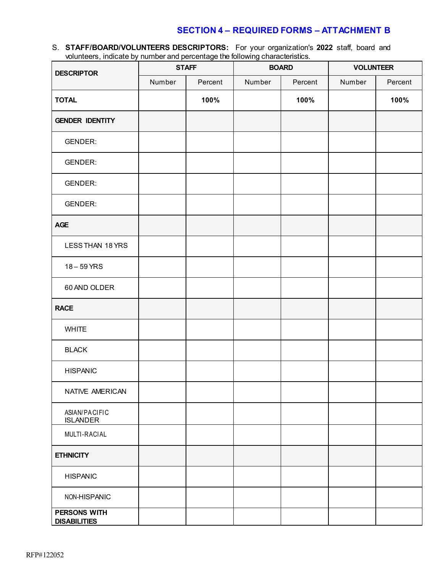S. **STAFF/BOARD/VOLUNTEERS DESCRIPTORS:** For your organization's **2022** staff, board and volunteers, indicate by number and percentage the following characteristics.

| <b>DESCRIPTOR</b>                   | <b>STAFF</b> |         |        | <b>BOARD</b> | <b>VOLUNTEER</b> |         |
|-------------------------------------|--------------|---------|--------|--------------|------------------|---------|
|                                     | Number       | Percent | Number | Percent      | Number           | Percent |
| <b>TOTAL</b>                        |              | 100%    |        | 100%         |                  | 100%    |
| <b>GENDER IDENTITY</b>              |              |         |        |              |                  |         |
| <b>GENDER:</b>                      |              |         |        |              |                  |         |
| <b>GENDER:</b>                      |              |         |        |              |                  |         |
| <b>GENDER:</b>                      |              |         |        |              |                  |         |
| <b>GENDER:</b>                      |              |         |        |              |                  |         |
| <b>AGE</b>                          |              |         |        |              |                  |         |
| LESS THAN 18 YRS                    |              |         |        |              |                  |         |
| 18-59 YRS                           |              |         |        |              |                  |         |
| 60 AND OLDER                        |              |         |        |              |                  |         |
| <b>RACE</b>                         |              |         |        |              |                  |         |
| <b>WHITE</b>                        |              |         |        |              |                  |         |
| <b>BLACK</b>                        |              |         |        |              |                  |         |
| <b>HISPANIC</b>                     |              |         |        |              |                  |         |
| NATIVE AMERICAN                     |              |         |        |              |                  |         |
| ASIAN/PACIFIC<br><b>ISLANDER</b>    |              |         |        |              |                  |         |
| MULTI-RACIAL                        |              |         |        |              |                  |         |
| <b>ETHNICITY</b>                    |              |         |        |              |                  |         |
| <b>HISPANIC</b>                     |              |         |        |              |                  |         |
| NON-HISPANIC                        |              |         |        |              |                  |         |
| PERSONS WITH<br><b>DISABILITIES</b> |              |         |        |              |                  |         |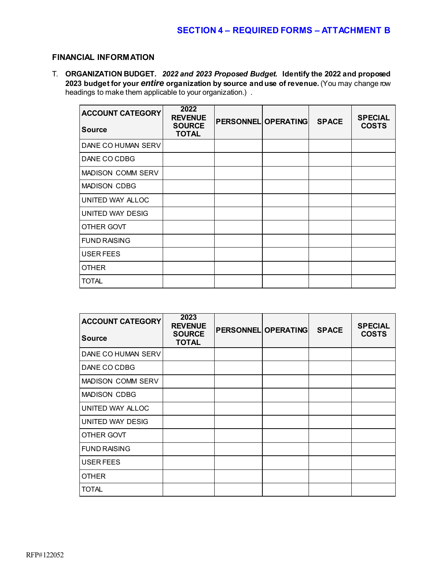### **FINANCIAL INFORMATION**

T. **ORGANIZATION BUDGET.** *2022 and 2023 Proposed Budget.* **Identify the 2022 and proposed 2023 budget for your** *entire* **organization by source and use of revenue.** (You may change row headings to make them applicable to your organization.) .

| <b>ACCOUNT CATEGORY</b><br><b>Source</b> | 2022<br><b>REVENUE</b><br><b>SOURCE</b><br><b>TOTAL</b> | PERSONNEL OPERATING | <b>SPACE</b> | <b>SPECIAL</b><br><b>COSTS</b> |
|------------------------------------------|---------------------------------------------------------|---------------------|--------------|--------------------------------|
| DANE CO HUMAN SERV                       |                                                         |                     |              |                                |
| DANE CO CDBG                             |                                                         |                     |              |                                |
| <b>MADISON COMM SERV</b>                 |                                                         |                     |              |                                |
| <b>MADISON CDBG</b>                      |                                                         |                     |              |                                |
| UNITED WAY ALLOC                         |                                                         |                     |              |                                |
| <b>UNITED WAY DESIG</b>                  |                                                         |                     |              |                                |
| OTHER GOVT                               |                                                         |                     |              |                                |
| <b>FUND RAISING</b>                      |                                                         |                     |              |                                |
| USER FEES                                |                                                         |                     |              |                                |
| <b>OTHER</b>                             |                                                         |                     |              |                                |
| <b>TOTAL</b>                             |                                                         |                     |              |                                |

| <b>ACCOUNT CATEGORY</b><br><b>Source</b> | 2023<br><b>REVENUE</b><br><b>SOURCE</b><br><b>TOTAL</b> | <b>PERSONNEL OPERATING</b> | <b>SPACE</b> | <b>SPECIAL</b><br><b>COSTS</b> |
|------------------------------------------|---------------------------------------------------------|----------------------------|--------------|--------------------------------|
| DANE CO HUMAN SERV                       |                                                         |                            |              |                                |
| DANE CO CDBG                             |                                                         |                            |              |                                |
| <b>MADISON COMM SERV</b>                 |                                                         |                            |              |                                |
| <b>MADISON CDBG</b>                      |                                                         |                            |              |                                |
| UNITED WAY ALLOC                         |                                                         |                            |              |                                |
| UNITED WAY DESIG                         |                                                         |                            |              |                                |
| OTHER GOVT                               |                                                         |                            |              |                                |
| <b>FUND RAISING</b>                      |                                                         |                            |              |                                |
| <b>USER FEES</b>                         |                                                         |                            |              |                                |
| <b>OTHER</b>                             |                                                         |                            |              |                                |
| <b>TOTAL</b>                             |                                                         |                            |              |                                |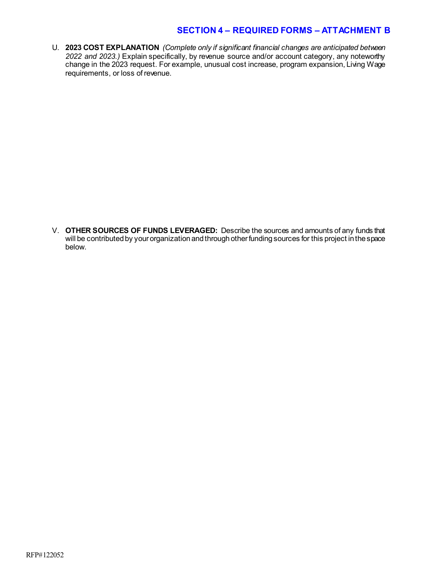U. **2023 COST EXPLANATION** *(Complete only if significant financial changes are anticipated between 2022 and 2023.)* Explain specifically, by revenue source and/or account category, any noteworthy change in the 2023 request. For example, unusual cost increase, program expansion, Living Wage requirements, or loss of revenue.

V. **OTHER SOURCES OF FUNDS LEVERAGED:** Describe the sources and amounts of any funds that will be contributed by your organization and through other funding sources for this project in the space below.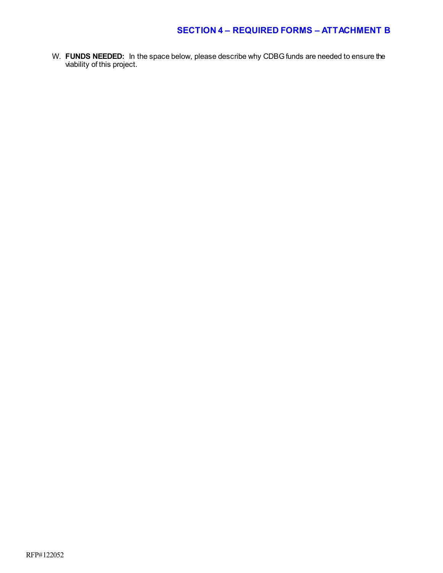W. **FUNDS NEEDED:** In the space below, please describe why CDBG funds are needed to ensure the viability of this project.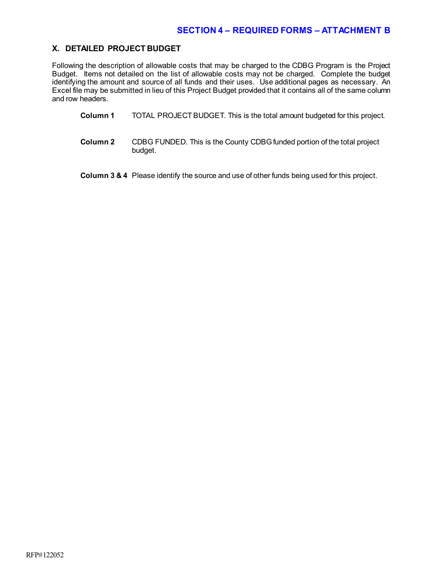#### **X. DETAILED PROJECT BUDGET**

Following the description of allowable costs that may be charged to the CDBG Program is the Project Budget. Items not detailed on the list of allowable costs may not be charged. Complete the budget identifying the amount and source of all funds and their uses. Use additional pages as necessary. An Excel file may be submitted in lieu of this Project Budget provided that it contains all of the same column and row headers.

- **Column 1** TOTAL PROJECT BUDGET. This is the total amount budgeted for this project.
- **Column 2** CDBG FUNDED. This is the County CDBG funded portion of the total project budget.

**Column 3 & 4** Please identify the source and use of other funds being used for this project.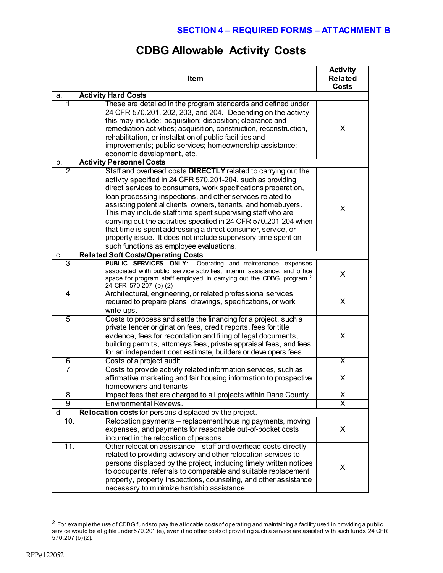# **CDBG Allowable Activity Costs**

|     | <b>Activity</b><br><b>Related</b><br>Costs                                                                                                                                                                                                                                                                                                                                                                                                                                                                                                                                                                                                   |                         |
|-----|----------------------------------------------------------------------------------------------------------------------------------------------------------------------------------------------------------------------------------------------------------------------------------------------------------------------------------------------------------------------------------------------------------------------------------------------------------------------------------------------------------------------------------------------------------------------------------------------------------------------------------------------|-------------------------|
| a.  | <b>Activity Hard Costs</b>                                                                                                                                                                                                                                                                                                                                                                                                                                                                                                                                                                                                                   |                         |
| 1.  | These are detailed in the program standards and defined under<br>24 CFR 570.201, 202, 203, and 204. Depending on the activity<br>this may include: acquisition; disposition; clearance and<br>remediation activities; acquisition, construction, reconstruction,<br>rehabilitation, or installation of public facilities and<br>improvements; public services; homeownership assistance;<br>economic development, etc.                                                                                                                                                                                                                       | X                       |
| b.  | <b>Activity Personnel Costs</b>                                                                                                                                                                                                                                                                                                                                                                                                                                                                                                                                                                                                              |                         |
| 2.  | Staff and overhead costs DIRECTLY related to carrying out the<br>activity specified in 24 CFR 570.201-204, such as providing<br>direct services to consumers, work specifications preparation,<br>loan processing inspections, and other services related to<br>assisting potential clients, owners, tenants, and homebuyers.<br>This may include staff time spent supervising staff who are<br>carrying out the activities specified in 24 CFR 570.201-204 when<br>that time is spent addressing a direct consumer, service, or<br>property issue. It does not include supervisory time spent on<br>such functions as employee evaluations. | X                       |
| С.  | <b>Related Soft Costs/Operating Costs</b>                                                                                                                                                                                                                                                                                                                                                                                                                                                                                                                                                                                                    |                         |
| 3.  | PUBLIC SERVICES ONLY:<br>Operating and maintenance expenses<br>associated with public service activities, interim assistance, and office<br>space for program staff employed in carrying out the CDBG program. <sup>2</sup><br>24 CFR 570.207 (b) (2)                                                                                                                                                                                                                                                                                                                                                                                        | X                       |
| 4.  | Architectural, engineering, or related professional services<br>required to prepare plans, drawings, specifications, or work<br>write-ups.                                                                                                                                                                                                                                                                                                                                                                                                                                                                                                   | X                       |
| 5.  | Costs to process and settle the financing for a project, such a<br>private lender origination fees, credit reports, fees for title<br>evidence, fees for recordation and filing of legal documents,<br>building permits, attorneys fees, private appraisal fees, and fees<br>for an independent cost estimate, builders or developers fees.                                                                                                                                                                                                                                                                                                  | X                       |
| 6.  | Costs of a project audit                                                                                                                                                                                                                                                                                                                                                                                                                                                                                                                                                                                                                     | $\overline{\mathsf{x}}$ |
| 7.  | Costs to provide activity related information services, such as<br>affirmative marketing and fair housing information to prospective<br>homeowners and tenants.                                                                                                                                                                                                                                                                                                                                                                                                                                                                              | X                       |
| 8.  | Impact fees that are charged to all projects within Dane County.                                                                                                                                                                                                                                                                                                                                                                                                                                                                                                                                                                             | X                       |
| 9.  | <b>Environmental Reviews.</b>                                                                                                                                                                                                                                                                                                                                                                                                                                                                                                                                                                                                                | $\overline{\mathsf{x}}$ |
| d   | Relocation costs for persons displaced by the project.                                                                                                                                                                                                                                                                                                                                                                                                                                                                                                                                                                                       |                         |
| 10. | Relocation payments - replacement housing payments, moving<br>expenses, and payments for reasonable out-of-pocket costs<br>incurred in the relocation of persons.                                                                                                                                                                                                                                                                                                                                                                                                                                                                            | X                       |
| 11. | Other relocation assistance - staff and overhead costs directly<br>related to providing advisory and other relocation services to<br>persons displaced by the project, including timely written notices<br>to occupants, referrals to comparable and suitable replacement<br>property, property inspections, counseling, and other assistance<br>necessary to minimize hardship assistance.                                                                                                                                                                                                                                                  | X                       |

<span id="page-20-0"></span> $^2$  For example the use of CDBG funds to pay the allocable costs of operating and maintaining a facility used in providing a public service would be eligible under 570.201 (e), even if no other costs of providing such a service are assisted with such funds. 24 CFR 570.207 (b) (2).

 $\overline{a}$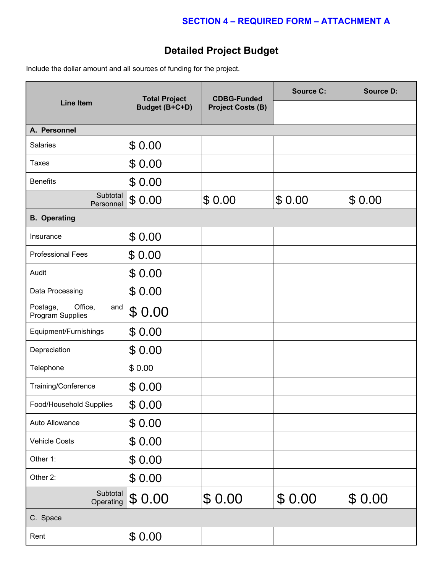# **Detailed Project Budget**

Include the dollar amount and all sources of funding for the project.

|                                                | <b>Total Project</b><br>Budget (B+C+D) | <b>CDBG-Funded</b>       | <b>Source C:</b> | <b>Source D:</b> |  |  |  |
|------------------------------------------------|----------------------------------------|--------------------------|------------------|------------------|--|--|--|
| <b>Line Item</b>                               |                                        | <b>Project Costs (B)</b> |                  |                  |  |  |  |
| A. Personnel                                   |                                        |                          |                  |                  |  |  |  |
| Salaries                                       | \$0.00                                 |                          |                  |                  |  |  |  |
| <b>Taxes</b>                                   | \$0.00                                 |                          |                  |                  |  |  |  |
| <b>Benefits</b>                                | \$0.00                                 |                          |                  |                  |  |  |  |
| Subtotal<br>Personnel                          | \$0.00                                 | \$0.00                   | \$0.00           | \$0.00           |  |  |  |
| <b>B.</b> Operating                            |                                        |                          |                  |                  |  |  |  |
| Insurance                                      | \$0.00                                 |                          |                  |                  |  |  |  |
| <b>Professional Fees</b>                       | \$0.00                                 |                          |                  |                  |  |  |  |
| Audit                                          | \$0.00                                 |                          |                  |                  |  |  |  |
| Data Processing                                | \$0.00                                 |                          |                  |                  |  |  |  |
| Office,<br>Postage,<br>and<br>Program Supplies | \$0.00                                 |                          |                  |                  |  |  |  |
| Equipment/Furnishings                          | \$0.00                                 |                          |                  |                  |  |  |  |
| Depreciation                                   | \$0.00                                 |                          |                  |                  |  |  |  |
| Telephone                                      | \$0.00                                 |                          |                  |                  |  |  |  |
| Training/Conference                            | \$0.00                                 |                          |                  |                  |  |  |  |
| Food/Household Supplies                        | \$0.00                                 |                          |                  |                  |  |  |  |
| Auto Allowance                                 | \$0.00                                 |                          |                  |                  |  |  |  |
| <b>Vehicle Costs</b>                           | \$0.00                                 |                          |                  |                  |  |  |  |
| Other 1:                                       | \$0.00                                 |                          |                  |                  |  |  |  |
| Other 2:                                       | \$0.00                                 |                          |                  |                  |  |  |  |
| Subtotal<br>Operating                          | \$0.00                                 | \$0.00                   | \$0.00           | \$0.00           |  |  |  |
| C. Space                                       |                                        |                          |                  |                  |  |  |  |
| Rent                                           | \$0.00                                 |                          |                  |                  |  |  |  |